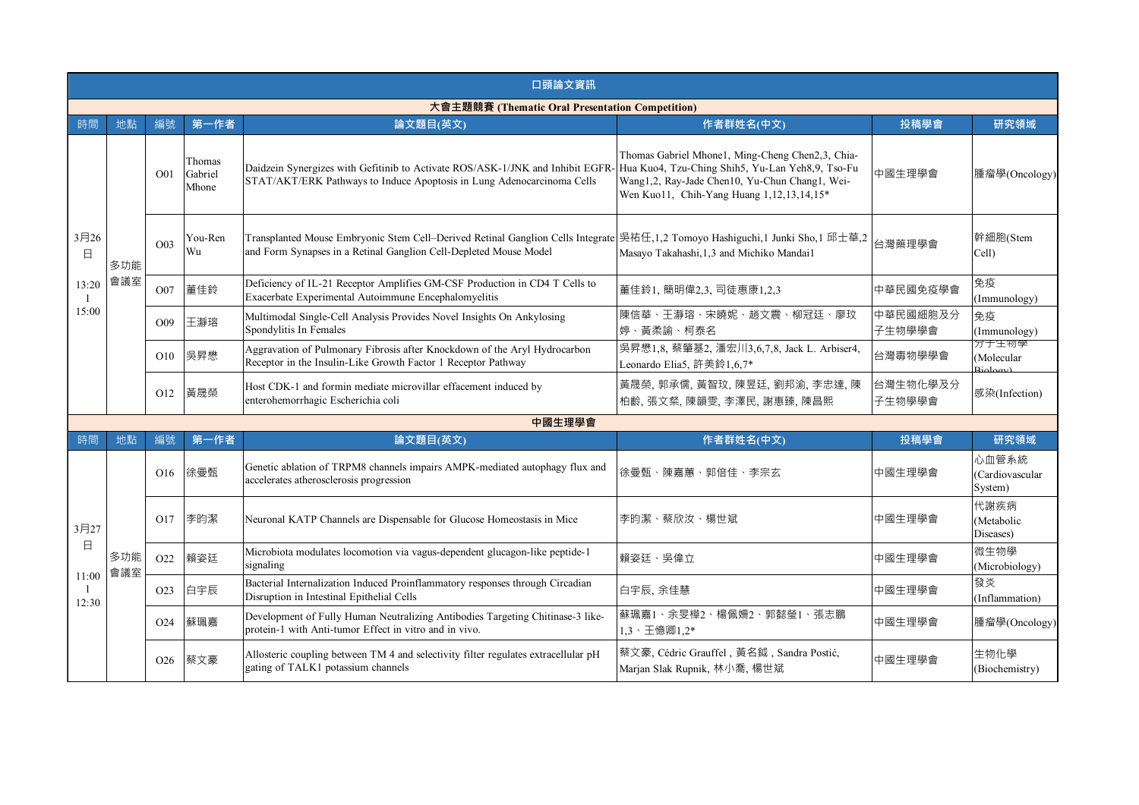| 口頭論文資訊                                          |            |                  |                            |                                                                                                                                                                                                          |                                                                                                                                                 |                    |                                                                                |  |  |
|-------------------------------------------------|------------|------------------|----------------------------|----------------------------------------------------------------------------------------------------------------------------------------------------------------------------------------------------------|-------------------------------------------------------------------------------------------------------------------------------------------------|--------------------|--------------------------------------------------------------------------------|--|--|
| 大會主題競賽 (Thematic Oral Presentation Competition) |            |                  |                            |                                                                                                                                                                                                          |                                                                                                                                                 |                    |                                                                                |  |  |
| 時間                                              | 地點         | 編號               | 第一作者                       | 論文題目(英文)                                                                                                                                                                                                 | 作者群姓名(中文)                                                                                                                                       | 投稿學會               | 研究領域                                                                           |  |  |
| 3月26<br>$\Box$<br>13:20<br>15:00                |            | O01              | Thomas<br>Gabriel<br>Mhone | Daidzein Synergizes with Gefitinib to Activate ROS/ASK-1/JNK and Inhibit EGFR-Hua Kuo4, Tzu-Ching Shih5, Yu-Lan Yeh8,9, Tso-Fu<br>STAT/AKT/ERK Pathways to Induce Apoptosis in Lung Adenocarcinoma Cells | Thomas Gabriel Mhone1, Ming-Cheng Chen2,3, Chia-<br>Wang1,2, Ray-Jade Chen10, Yu-Chun Chang1, Wei-<br>Wen Kuo11, Chih-Yang Huang 1,12,13,14,15* | 中國生理學會             | 腫瘤學(Oncology)                                                                  |  |  |
|                                                 | 多功能        | O <sub>03</sub>  | You-Ren<br>Wu              | Transplanted Mouse Embryonic Stem Cell–Derived Retinal Ganglion Cells Integrate 吴祐任,1,2 Tomoyo Hashiguchi,1 Junki Sho,1 邱士華,2<br>and Form Synapses in a Retinal Ganglion Cell-Depleted Mouse Model       | Masayo Takahashi, 1,3 and Michiko Mandai1                                                                                                       | 台灣藥理學會             | 幹細胞(Stem<br>Cell)                                                              |  |  |
|                                                 | 會議室        | O07              | 董佳鈴                        | Deficiency of IL-21 Receptor Amplifies GM-CSF Production in CD4 T Cells to<br>Exacerbate Experimental Autoimmune Encephalomyelitis                                                                       | 董佳鈴1, 簡明偉2,3, 司徒惠康1,2,3                                                                                                                         | 中華民國免疫學會           | 免疫<br>(Immunology)                                                             |  |  |
|                                                 |            | O <sub>0</sub> 9 | 王瀞瑢                        | Multimodal Single-Cell Analysis Provides Novel Insights On Ankylosing<br>Spondylitis In Females                                                                                                          | 陳信華、王瀞瑢、宋曉妮、趙文震、柳冠廷、廖玟<br>婷、黃柔諭、柯泰名                                                                                                             | 中華民國細胞及分<br>子生物學學會 | 免疫<br>(Immunology)                                                             |  |  |
|                                                 |            | O10              | 吳昇懋                        | Aggravation of Pulmonary Fibrosis after Knockdown of the Aryl Hydrocarbon<br>Receptor in the Insulin-Like Growth Factor 1 Receptor Pathway                                                               | 吳昇懋1,8, 蔡肇基2, 潘宏川3,6,7,8, Jack L. Arbiser4,<br>Leonardo Elia5, 許美鈴1,6,7*                                                                        | 台灣毒物學學會            | 分于生物学<br>(Molecular<br>$\mathbf{D}_{\mathbf{1}}^{\dagger} \mathbf{A}_{\alpha}$ |  |  |
|                                                 |            | O12              | 黃晟榮                        | Host CDK-1 and formin mediate microvillar effacement induced by<br>enterohemorrhagic Escherichia coli                                                                                                    | 黃晟榮, 郭承儒, 黃智玟, 陳昱廷, 劉邦渝, 李忠達, 陳<br>柏齡,張文粲,陳韻雯,李澤民,謝惠臻,陳昌熙                                                                                       | 台灣生物化學及分<br>子生物學學會 | 感染(Infection)                                                                  |  |  |
|                                                 |            | 中國生理學會           |                            |                                                                                                                                                                                                          |                                                                                                                                                 |                    |                                                                                |  |  |
| 時間                                              | 地點         | 編號               | 第一作者                       | 論文題目(英文)                                                                                                                                                                                                 | 作者群姓名(中文)                                                                                                                                       | 投稿學會               | 研究領域                                                                           |  |  |
|                                                 |            | O16              | 徐曼甄                        | Genetic ablation of TRPM8 channels impairs AMPK-mediated autophagy flux and<br>accelerates atherosclerosis progression                                                                                   | 徐曼甄、陳嘉蕙、郭倍佳、李宗玄                                                                                                                                 | 中國生理學會             | 心血管系統<br>(Cardiovascular<br>System)                                            |  |  |
| 3月27                                            |            | O17              | 李昀潔                        | Neuronal KATP Channels are Dispensable for Glucose Homeostasis in Mice                                                                                                                                   | 李昀潔、蔡欣汝、楊世斌                                                                                                                                     | 中國生理學會             | 代謝疾病<br>(Metabolic<br>Diseases)                                                |  |  |
| 日<br>11:00<br>12:30                             | 多功能<br>會議室 | O <sub>22</sub>  | 賴姿廷                        | Microbiota modulates locomotion via vagus-dependent glucagon-like peptide-1<br>signaling                                                                                                                 | 賴姿廷、吳偉立                                                                                                                                         | 中國生理學會             | 微生物學<br>(Microbiology)                                                         |  |  |
|                                                 |            | O <sub>2</sub> 3 | 白宇辰                        | Bacterial Internalization Induced Proinflammatory responses through Circadian<br>Disruption in Intestinal Epithelial Cells                                                                               | 白宇辰, 余佳慧                                                                                                                                        | 中國生理學會             | 發炎<br>(Inflammation)                                                           |  |  |
|                                                 |            | O <sub>24</sub>  | 蘇珮嘉                        | Development of Fully Human Neutralizing Antibodies Targeting Chitinase-3 like-<br>protein-1 with Anti-tumor Effect in vitro and in vivo.                                                                 | 蘇珮嘉1、余旻樺2、楊佩姍2、郭懿瑩1、張志鵬<br>1,3、王憶卿1,2*                                                                                                          | 中國生理學會             | 腫瘤學(Oncology)                                                                  |  |  |
|                                                 |            | O <sub>26</sub>  | 蔡文豪                        | Allosteric coupling between TM 4 and selectivity filter regulates extracellular pH<br>gating of TALK1 potassium channels                                                                                 | 蔡文豪, Cédric Grauffel, 黃名鉞, Sandra Postić,<br>Marjan Slak Rupnik, 林小喬, 楊世斌                                                                       | 中國生理學會             | 生物化學<br>(Biochemistry)                                                         |  |  |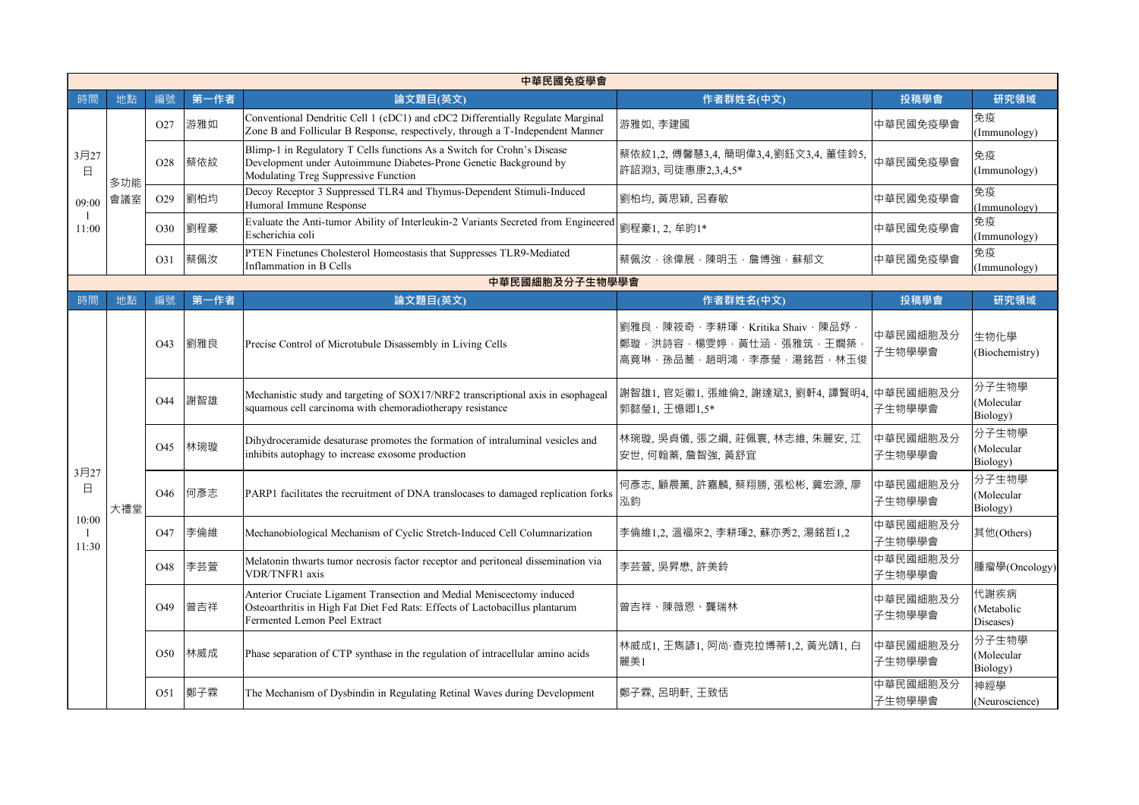|                    | 中華民國免疫學會   |                 |                 |                                                                                                                                                                                        |                                                                                                  |                    |                                                                              |                    |                 |     |                                                                           |               |
|--------------------|------------|-----------------|-----------------|----------------------------------------------------------------------------------------------------------------------------------------------------------------------------------------|--------------------------------------------------------------------------------------------------|--------------------|------------------------------------------------------------------------------|--------------------|-----------------|-----|---------------------------------------------------------------------------|---------------|
| 時間                 | 地點         | 編號              | 第一作者            | 論文題目(英文)                                                                                                                                                                               | 作者群姓名(中文)                                                                                        | 投稿學會               | 研究領域                                                                         |                    |                 |     |                                                                           |               |
| 3月27<br>日<br>09:00 |            | O <sub>27</sub> | 游雅如             | Conventional Dendritic Cell 1 (cDC1) and cDC2 Differentially Regulate Marginal<br>Zone B and Follicular B Response, respectively, through a T-Independent Manner                       | 游雅如, 李建國                                                                                         | 中華民國免疫學會           | 免疫<br>(Immunology)                                                           |                    |                 |     |                                                                           |               |
|                    | 多功能<br>會議室 | O <sub>28</sub> | 蔡依紋             | Blimp-1 in Regulatory T Cells functions As a Switch for Crohn's Disease<br>Development under Autoimmune Diabetes-Prone Genetic Background by<br>Modulating Treg Suppressive Function   | 蔡依紋1,2, 傅馨慧3,4, 簡明偉3,4,劉鈺文3,4, 董佳鈴5,<br>許詔淵3, 司徒惠康2,3,4,5*                                       | 中華民國免疫學會           | 免疫<br>(Immunology)                                                           |                    |                 |     |                                                                           |               |
|                    |            |                 | O <sub>29</sub> | 劉柏均                                                                                                                                                                                    | Decoy Receptor 3 Suppressed TLR4 and Thymus-Dependent Stimuli-Induced<br>Humoral Immune Response | 劉柏均, 黃思穎, 呂春敏      | 中華民國免疫學會                                                                     | 免疫<br>(Immunology) |                 |     |                                                                           |               |
| 11:00              |            | O30             | 劉程豪             | Evaluate the Anti-tumor Ability of Interleukin-2 Variants Secreted from Engineered<br>Escherichia coli                                                                                 | 劉程豪1, 2, 牟昀1*                                                                                    | 中華民國免疫學會           | 免疫<br>(Immunology)                                                           |                    |                 |     |                                                                           |               |
|                    |            | O31             | 蔡佩汝             | PTEN Finetunes Cholesterol Homeostasis that Suppresses TLR9-Mediated<br>Inflammation in B Cells                                                                                        | 蔡佩汝,徐偉展,陳明玉,詹博強,蘇郁文                                                                              | 中華民國免疫學會           | 免疫<br>(Immunology)<br>研究領域<br>(Molecular<br>(Molecular<br>代謝疾病<br>(Metabolic |                    |                 |     |                                                                           |               |
|                    |            |                 |                 | 中華民國細胞及分子生物學學會                                                                                                                                                                         |                                                                                                  |                    |                                                                              |                    |                 |     |                                                                           |               |
| 時間                 | 地點         | 編號              | 第一作者            | 論文題目(英文)                                                                                                                                                                               | 作者群姓名(中文)                                                                                        | 投稿學會               |                                                                              |                    |                 |     |                                                                           |               |
|                    |            | O <sub>43</sub> | 劉雅良             | Precise Control of Microtubule Disassembly in Living Cells                                                                                                                             | 劉雅良·陳筱奇·李耕琿·Kritika Shaiv·陳品妤<br>鄭璇,洪詩容,楊雯婷,黃仕涵,張雅筑,王嫺築<br>高竟琳,孫品蕎,趙明鴻,李彥瑩,湯銘哲,林玉俊               | 中華民國細胞及分<br>子生物學學會 | 生物化學<br>(Biochemistry)                                                       |                    |                 |     |                                                                           |               |
|                    |            | O <sub>44</sub> | 謝智雄             | Mechanistic study and targeting of SOX17/NRF2 transcriptional axis in esophageal<br>squamous cell carcinoma with chemoradiotherapy resistance                                          | 謝智雄1, 官彣徽1, 張維倫2, 謝達斌3, 劉軒4, 譚賢明4,<br>郭懿瑩1, 王憶卿1,5*                                              | 中華民國細胞及分<br>子生物學學會 | 分子生物學<br>Biology)                                                            |                    |                 |     |                                                                           |               |
|                    |            | O <sub>45</sub> | 林琬璇             | Dihydroceramide desaturase promotes the formation of intraluminal vesicles and<br>inhibits autophagy to increase exosome production                                                    | 林琬璇, 吳貞儀, 張之綱, 莊佩寰, 林志維, 朱麗安, 江<br>安世, 何翰蓁, 詹智強, 黃舒宜                                             | 中華民國細胞及分<br>子生物學學會 | 分子生物學<br>Biology)                                                            |                    |                 |     |                                                                           |               |
| 3月27<br>Β          | 大禮堂        | O46             | 何彥志             | PARP1 facilitates the recruitment of DNA translocases to damaged replication forks                                                                                                     | 何彥志,顧晨薰,許嘉麟,蔡翔勝,張松彬,冀宏源,廖<br>泓鈞                                                                  | 中華民國細胞及分<br>子生物學學會 | 分子生物學<br>(Molecular<br>Biology)                                              |                    |                 |     |                                                                           |               |
| 10:00<br>11:30     |            | O <sub>47</sub> | 李倫維             | Mechanobiological Mechanism of Cyclic Stretch-Induced Cell Columnarization                                                                                                             | 李倫維1,2, 溫福來2, 李耕琿2, 蘇亦秀2, 湯銘哲1,2                                                                 | 中華民國細胞及分<br>子生物學學會 | 其他(Others)                                                                   |                    |                 |     |                                                                           |               |
|                    |            | O <sub>48</sub> | 李芸萱             | Melatonin thwarts tumor necrosis factor receptor and peritoneal dissemination via<br>VDR/TNFR1 axis                                                                                    | 李芸萱, 吳昇懋, 許美鈴                                                                                    | 中華民國細胞及分<br>子生物學學會 | 腫瘤學(Oncology)                                                                |                    |                 |     |                                                                           |               |
|                    |            | O <sub>49</sub> | 曾吉祥             | Anterior Cruciate Ligament Transection and Medial Meniscectomy induced<br>Osteoarthritis in High Fat Diet Fed Rats: Effects of Lactobacillus plantarum<br>Fermented Lemon Peel Extract | 曾吉祥、陳薇恩、龔瑞林                                                                                      | 中華民國細胞及分<br>子生物學學會 | Diseases)                                                                    |                    |                 |     |                                                                           |               |
|                    |            | O <sub>50</sub> | 林威成             | Phase separation of CTP synthase in the regulation of intracellular amino acids                                                                                                        | 林威成1, 王雋諺1, 阿尚·查克拉博蒂1,2, 黃光靖1, 白<br>麗美1                                                          | 中華民國細胞及分<br>子生物學學會 | 分子生物學<br>(Molecular<br>Biology)                                              |                    |                 |     |                                                                           |               |
|                    |            |                 |                 |                                                                                                                                                                                        |                                                                                                  |                    |                                                                              |                    | O <sub>51</sub> | 鄭子霖 | The Mechanism of Dysbindin in Regulating Retinal Waves during Development | 鄭子霖, 呂明軒, 王致恬 |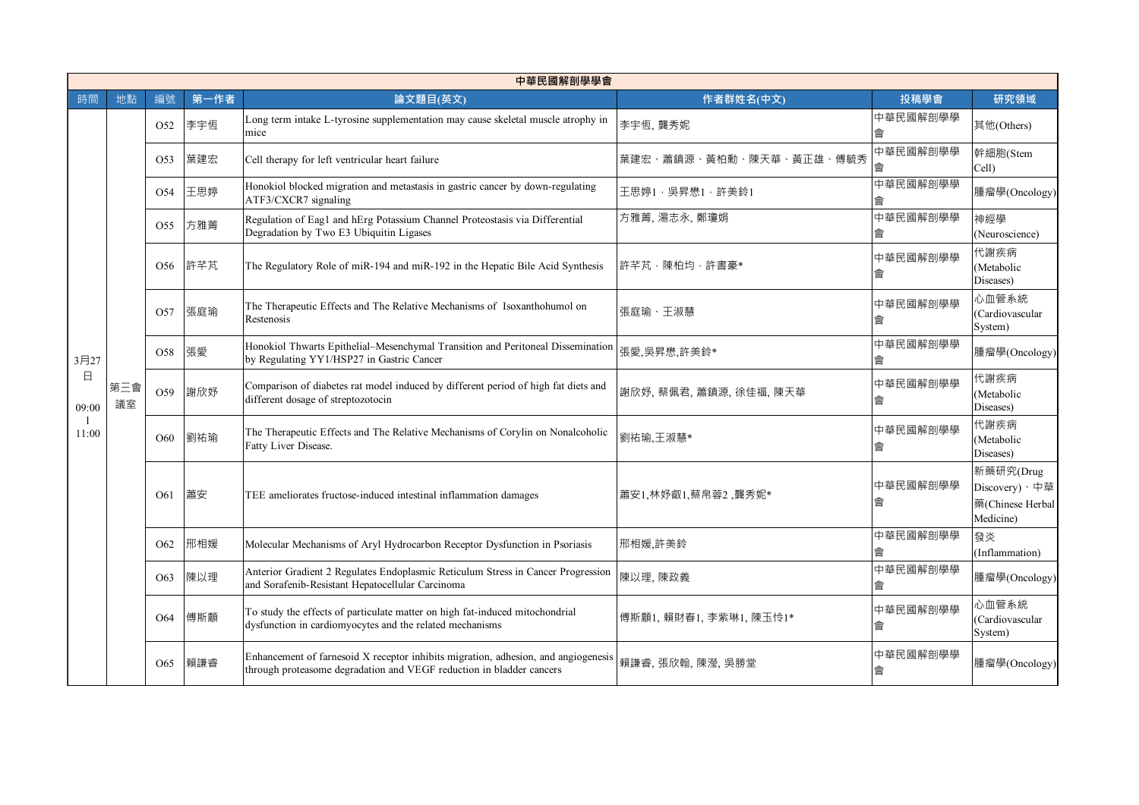|                 | 中華民國解剖學學會 |                 |                 |                                                                                                                                                            |                                                                                                                                      |                                                                                                                                          |                                                             |                                 |                                                                                                        |          |
|-----------------|-----------|-----------------|-----------------|------------------------------------------------------------------------------------------------------------------------------------------------------------|--------------------------------------------------------------------------------------------------------------------------------------|------------------------------------------------------------------------------------------------------------------------------------------|-------------------------------------------------------------|---------------------------------|--------------------------------------------------------------------------------------------------------|----------|
| 時間              | 地點        | 編號              | 第一作者            | 論文題目(英文)                                                                                                                                                   | 作者群姓名(中文)                                                                                                                            | 投稿學會                                                                                                                                     | 研究領域                                                        |                                 |                                                                                                        |          |
|                 |           | O <sub>52</sub> | 李宇恆             | Long term intake L-tyrosine supplementation may cause skeletal muscle atrophy in<br>mice                                                                   | 李宇恆, 龔秀妮                                                                                                                             | 中華民國解剖學學<br>會                                                                                                                            | 其他(Others)                                                  |                                 |                                                                                                        |          |
|                 |           | O <sub>53</sub> | 葉建宏             | Cell therapy for left ventricular heart failure                                                                                                            | 、黃柏勳、陳天華、黃正雄、傅毓秀<br>葉建宏<br>、蕭鎮源                                                                                                      | 中華民國解剖學學<br>盦                                                                                                                            | 幹細胞(Stem<br>Cell)                                           |                                 |                                                                                                        |          |
|                 |           | O <sub>54</sub> | 王思婷             | Honokiol blocked migration and metastasis in gastric cancer by down-regulating<br>ATF3/CXCR7 signaling                                                     | 王思婷1, 吴昇懋1, 許美鈴1                                                                                                                     | 中華民國解剖學學<br>會                                                                                                                            | 腫瘤學(Oncology)                                               |                                 |                                                                                                        |          |
|                 |           | O <sub>55</sub> | 方雅菁             | Regulation of Eag1 and hErg Potassium Channel Proteostasis via Differential<br>Degradation by Two E3 Ubiquitin Ligases                                     | 方雅菁, 湯志永, 鄭瓊娟                                                                                                                        | 中華民國解剖學學<br>會                                                                                                                            | 神經學<br>(Neuroscience)                                       |                                 |                                                                                                        |          |
|                 |           | O <sub>56</sub> | 許芊芃             | The Regulatory Role of miR-194 and miR-192 in the Hepatic Bile Acid Synthesis                                                                              | 許芊芃‧陳柏均‧許書豪*                                                                                                                         | 中華民國解剖學學<br>會                                                                                                                            | 代謝疾病<br>(Metabolic<br>Diseases)                             |                                 |                                                                                                        |          |
|                 | 第三會<br>議室 | O <sub>57</sub> | 張庭瑜             | The Therapeutic Effects and The Relative Mechanisms of Isoxanthohumol on<br>Restenosis                                                                     | 張庭瑜、王淑慧                                                                                                                              | 中華民國解剖學學<br>會                                                                                                                            | 心血管系統<br>(Cardiovascular<br>System)                         |                                 |                                                                                                        |          |
| 3月27            |           | O <sub>58</sub> | 張愛              | Honokiol Thwarts Epithelial-Mesenchymal Transition and Peritoneal Dissemination<br>by Regulating YY1/HSP27 in Gastric Cancer                               | 張愛,吳昇懋,許美鈴*                                                                                                                          | 中華民國解剖學學<br>會                                                                                                                            | 腫瘤學(Oncology)                                               |                                 |                                                                                                        |          |
| $\Box$<br>09:00 |           | O59<br>O60      |                 | 謝欣妤                                                                                                                                                        | Comparison of diabetes rat model induced by different period of high fat diets and<br>different dosage of streptozotocin             | 謝欣妤、蔡佩君、蕭鎮源、徐佳福、陳天華                                                                                                                      | 中華民國解剖學學<br>會                                               | 代謝疾病<br>(Metabolic<br>Diseases) |                                                                                                        |          |
| 11:00           |           |                 |                 |                                                                                                                                                            |                                                                                                                                      |                                                                                                                                          |                                                             | 劉祐瑜                             | The Therapeutic Effects and The Relative Mechanisms of Corylin on Nonalcoholic<br>Fatty Liver Disease. | 劉祐瑜,王淑慧* |
|                 |           | O <sub>61</sub> | 蕭安              | TEE ameliorates fructose-induced intestinal inflammation damages                                                                                           | 蕭安1,林妤叡1,蔡帛蓉2 ,龔秀妮*                                                                                                                  | 中華民國解剖學學<br>會                                                                                                                            | 新藥研究(Drug<br>Discovery)、中草<br>藥(Chinese Herbal<br>Medicine) |                                 |                                                                                                        |          |
|                 |           | O <sub>62</sub> | 邢相媛             | Molecular Mechanisms of Aryl Hydrocarbon Receptor Dysfunction in Psoriasis                                                                                 | 邢相媛,許美鈴                                                                                                                              | 中華民國解剖學學<br>會                                                                                                                            | 發炎<br>(Inflammation)                                        |                                 |                                                                                                        |          |
|                 |           |                 | O <sub>63</sub> | 陳以理                                                                                                                                                        | Anterior Gradient 2 Regulates Endoplasmic Reticulum Stress in Cancer Progression<br>and Sorafenib-Resistant Hepatocellular Carcinoma | 陳以理, 陳政義                                                                                                                                 | 中華民國解剖學學                                                    | 腫瘤學(Oncology)                   |                                                                                                        |          |
|                 |           |                 |                 | O <sub>64</sub>                                                                                                                                            | 傅斯顬                                                                                                                                  | To study the effects of particulate matter on high fat-induced mitochondrial<br>dysfunction in cardiomyocytes and the related mechanisms | 傅斯顬1, 賴財春1, 李紫琳1, 陳玉怜1*                                     | 中華民國解剖學學<br>會                   | 心血管系統<br>(Cardiovascular<br>System)                                                                    |          |
|                 |           | O <sub>65</sub> | 賴謙睿             | Enhancement of farnesoid X receptor inhibits migration, adhesion, and angiogenesis<br>through proteasome degradation and VEGF reduction in bladder cancers | 賴謙睿, 張欣翰, 陳瀅, 吳勝堂                                                                                                                    | 中華民國解剖學學<br>會                                                                                                                            | 腫瘤學(Oncology)                                               |                                 |                                                                                                        |          |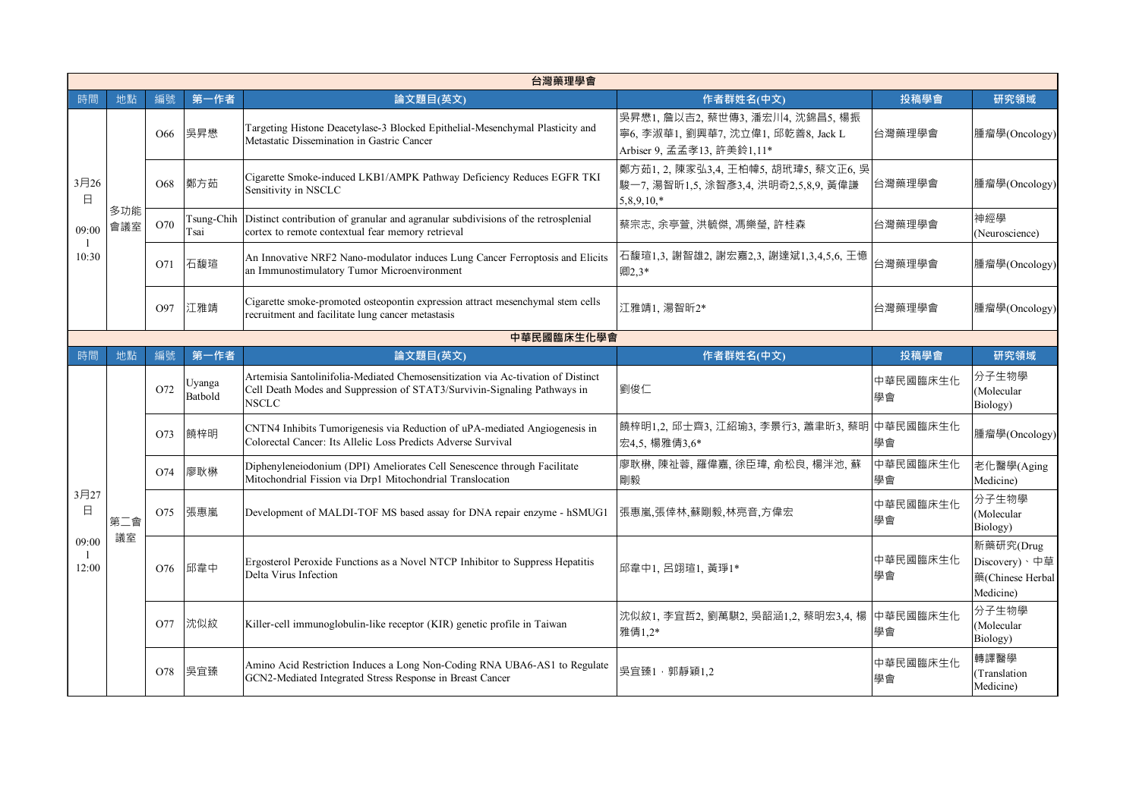|                                               | 台灣藥理學會     |                 |                           |                                                                                                                                                                              |                                                                                                      |                |                                                             |  |
|-----------------------------------------------|------------|-----------------|---------------------------|------------------------------------------------------------------------------------------------------------------------------------------------------------------------------|------------------------------------------------------------------------------------------------------|----------------|-------------------------------------------------------------|--|
| 時間                                            | 地點         | 編號              | 第一作者                      | 論文題目(英文)                                                                                                                                                                     | 作者群姓名(中文)                                                                                            | 投稿學會           | 研究領域                                                        |  |
| $3 \overline{$ 26<br>$\Box$<br>09:00<br>10:30 |            | O <sub>66</sub> | 吳昇懋                       | Targeting Histone Deacetylase-3 Blocked Epithelial-Mesenchymal Plasticity and<br>Metastatic Dissemination in Gastric Cancer                                                  | 吴昇懋1, 詹以吉2, 蔡世傳3, 潘宏川4, 沈錦昌5, 楊振<br>寧6, 李淑華1, 劉興華7, 沈立偉1, 邱乾善8, Jack L<br>Arbiser 9, 孟孟孝13, 許美鈴1,11* | 台灣藥理學會         | 腫瘤學(Oncology)                                               |  |
|                                               |            | O68             | 鄭方茹                       | Cigarette Smoke-induced LKB1/AMPK Pathway Deficiency Reduces EGFR TKI<br>Sensitivity in NSCLC                                                                                | 鄭方茹1, 2, 陳家弘3,4, 王柏幃5, 胡玳瑋5, 蔡文正6, 吳<br>駿一7, 湯智昕1,5, 涂智彥3,4, 洪明奇2,5,8,9, 黃偉謙<br>$5,8,9,10,*$         | 台灣藥理學會         | 腫瘤學(Oncology)                                               |  |
|                                               | 多功能<br>會議室 | O70             | Tsung-Chih<br><b>Fsai</b> | Distinct contribution of granular and agranular subdivisions of the retrosplenial<br>cortex to remote contextual fear memory retrieval                                       | 蔡宗志, 余亭萱, 洪毓傑, 馮樂瑩, 許桂森                                                                              | 台灣藥理學會         | 神經學<br>(Neuroscience)                                       |  |
|                                               |            | O71             | 石馥瑄                       | An Innovative NRF2 Nano-modulator induces Lung Cancer Ferroptosis and Elicits<br>an Immunostimulatory Tumor Microenvironment                                                 | 石馥瑄1,3, 謝智雄2, 謝宏嘉2,3, 謝達斌1,3,4,5,6, 王憶<br>卿2,3*                                                      | 台灣藥理學會         | 腫瘤學(Oncology)                                               |  |
|                                               |            | O97             | 江雅靖                       | Cigarette smoke-promoted osteopontin expression attract mesenchymal stem cells<br>recruitment and facilitate lung cancer metastasis                                          | 江雅靖1. 湯智昕2*                                                                                          | 台灣藥理學會         | 腫瘤學(Oncology)                                               |  |
|                                               |            |                 |                           | 中華民國臨床生化學會                                                                                                                                                                   |                                                                                                      |                |                                                             |  |
| 時間                                            | 地點         | 編號              | 第一作者                      | 論文題目(英文)                                                                                                                                                                     | 作者群姓名(中文)                                                                                            | 投稿學會           | 研究領域                                                        |  |
|                                               |            | O72             | Uyanga<br>Batbold         | Artemisia Santolinifolia-Mediated Chemosensitization via Ac-tivation of Distinct<br>Cell Death Modes and Suppression of STAT3/Survivin-Signaling Pathways in<br><b>NSCLC</b> | 劉俊仁                                                                                                  | 中華民國臨床生化<br>學會 | 分子生物學<br>(Molecular<br>Biology)                             |  |
|                                               |            | O73             | 饒梓明                       | CNTN4 Inhibits Tumorigenesis via Reduction of uPA-mediated Angiogenesis in<br>Colorectal Cancer: Its Allelic Loss Predicts Adverse Survival                                  | 饒梓明1,2, 邱士齊3, 江紹瑜3, 李景行3, 蕭聿昕3, 蔡明 中華民國臨床生化<br>宏4,5, 楊雅倩3,6*                                         | 學會             | 腫瘤學(Oncology)                                               |  |
|                                               |            | O <sub>74</sub> | 廖耿楙                       | Diphenyleneiodonium (DPI) Ameliorates Cell Senescence through Facilitate<br>Mitochondrial Fission via Drp1 Mitochondrial Translocation                                       | 廖耿楙, 陳祉蓉, 羅偉嘉, 徐臣瑋, 俞松良, 楊泮池, 蘇<br>剛毅                                                                | 中華民國臨床生化<br>學會 | 老化醫學(Aging<br>Medicine)                                     |  |
| 3月27<br>$\Box$                                | 第二會        | O75             | 張惠嵐                       | Development of MALDI-TOF MS based assay for DNA repair enzyme - hSMUG1                                                                                                       | 張惠嵐,張倖林,蘇剛毅,林亮音,方偉宏<br>學會                                                                            | 中華民國臨床生化       | 分子生物學<br>(Molecular<br>Biology)                             |  |
| 09:00<br>12:00                                | 議室         | O76             | 邱韋中                       | Ergosterol Peroxide Functions as a Novel NTCP Inhibitor to Suppress Hepatitis<br>Delta Virus Infection                                                                       | 邱韋中1. 呂翊瑄1. 黃琤1*                                                                                     | 中華民國臨床生化<br>學會 | 新藥研究(Drug<br>Discovery)、中草<br>藥(Chinese Herbal<br>Medicine) |  |
|                                               |            | O77             | 沈似紋                       | Killer-cell immunoglobulin-like receptor (KIR) genetic profile in Taiwan                                                                                                     | 沈似紋1, 李宜哲2, 劉萬騏2, 吳韶涵1,2, 蔡明宏3,4, 楊 中華民國臨床生化<br>雅倩1.2*                                               | 學會             | 分子生物學<br>(Molecular<br>Biology)                             |  |
|                                               |            | O78             | 吳宜臻                       | Amino Acid Restriction Induces a Long Non-Coding RNA UBA6-AS1 to Regulate<br>GCN2-Mediated Integrated Stress Response in Breast Cancer                                       | 吳宜臻1, 郭靜穎1,2                                                                                         | 中華民國臨床生化<br>學會 | 轉譯醫學<br>(Translation<br>Medicine)                           |  |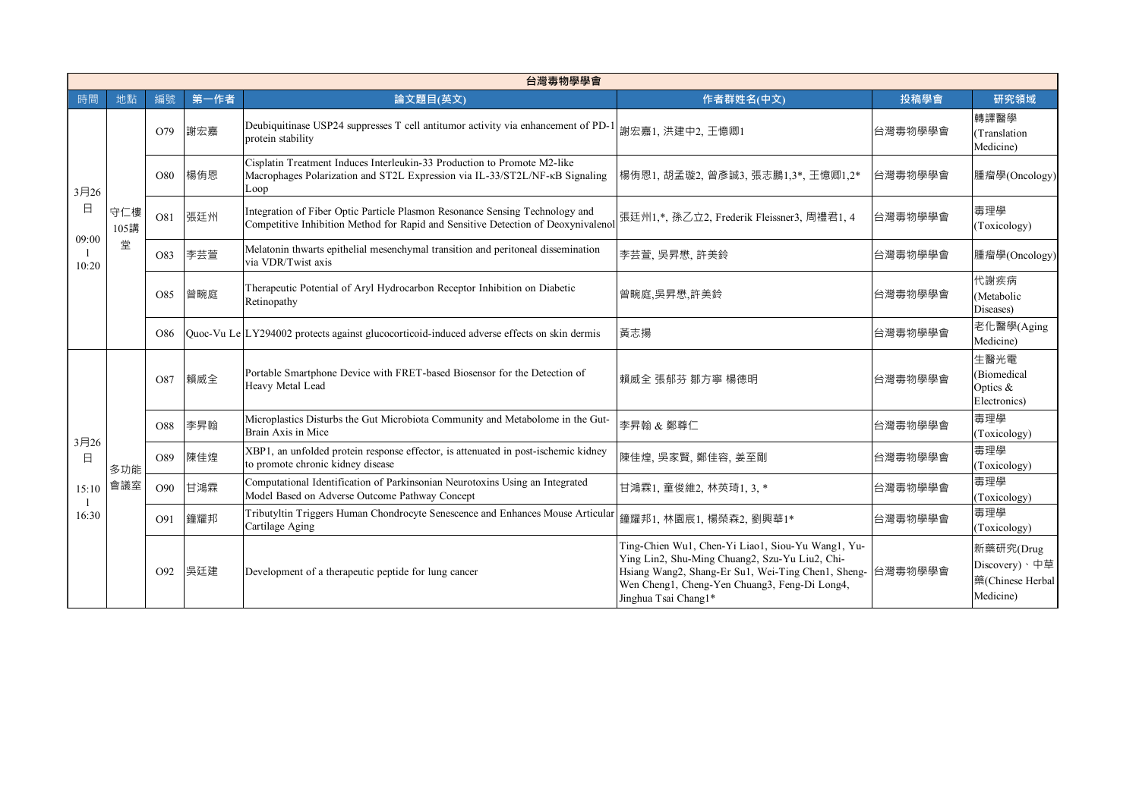|                | 台灣毒物學學會     |                 |      |                                                                                                                                                                   |                                                                                                                                                                                                                                    |         |                                                             |  |  |  |
|----------------|-------------|-----------------|------|-------------------------------------------------------------------------------------------------------------------------------------------------------------------|------------------------------------------------------------------------------------------------------------------------------------------------------------------------------------------------------------------------------------|---------|-------------------------------------------------------------|--|--|--|
| 時間             | 地點          | 編號              | 第一作者 | 論文題目(英文)                                                                                                                                                          | 作者群姓名(中文)                                                                                                                                                                                                                          | 投稿學會    | 研究領域                                                        |  |  |  |
|                |             | O79             | 謝宏嘉  | Deubiquitinase USP24 suppresses T cell antitumor activity via enhancement of PD-1<br>protein stability                                                            | 謝宏嘉1、洪建中2、王憶卿1                                                                                                                                                                                                                     | 台灣毒物學學會 | 轉譯醫學<br>(Translation<br>Medicine)                           |  |  |  |
| 3月26<br>日      |             | O80             | 楊侑恩  | Cisplatin Treatment Induces Interleukin-33 Production to Promote M2-like<br>Macrophages Polarization and ST2L Expression via IL-33/ST2L/NF-KB Signaling<br>Loop   | 楊侑恩1, 胡孟璇2, 曾彥誠3, 張志鵬1,3*, 王憶卿1,2*                                                                                                                                                                                                 | 台灣毒物學學會 | 腫瘤學(Oncology)                                               |  |  |  |
|                | 守仁樓<br>105講 | O81             | 張廷州  | Integration of Fiber Optic Particle Plasmon Resonance Sensing Technology and<br>Competitive Inhibition Method for Rapid and Sensitive Detection of Deoxynivalenol | 張廷州1,*, 孫乙立2, Frederik Fleissner3, 周禮君1, 4                                                                                                                                                                                         | 台灣毒物學學會 | 毒理學<br>(Toxicology)                                         |  |  |  |
| 09:00<br>10:20 | 堂           | O83             | 李芸萱  | Melatonin thwarts epithelial mesenchymal transition and peritoneal dissemination<br>via VDR/Twist axis                                                            | 李芸萱, 吳昇懋, 許美鈴                                                                                                                                                                                                                      | 台灣毒物學學會 | 腫瘤學(Oncology)                                               |  |  |  |
|                |             | O85             | 曾畹庭  | Therapeutic Potential of Aryl Hydrocarbon Receptor Inhibition on Diabetic<br>Retinopathy                                                                          | 曾畹庭,吳昇懋,許美鈴                                                                                                                                                                                                                        | 台灣毒物學學會 | 代謝疾病<br>(Metabolic<br>Diseases)                             |  |  |  |
|                |             | O86             |      | Quoc-Vu Le LY294002 protects against glucocorticoid-induced adverse effects on skin dermis                                                                        | 黃志揚                                                                                                                                                                                                                                | 台灣毒物學學會 | 老化醫學(Aging<br>Medicine)                                     |  |  |  |
|                |             | O87             | 賴威全  | Portable Smartphone Device with FRET-based Biosensor for the Detection of<br>Heavy Metal Lead                                                                     | 賴威全 張郁芬 鄒方寧 楊德明                                                                                                                                                                                                                    | 台灣毒物學學會 | 生醫光電<br>(Biomedical<br>Optics &<br>Electronics)             |  |  |  |
| 3月26           |             | O88             | 李昇翰  | Microplastics Disturbs the Gut Microbiota Community and Metabolome in the Gut-<br>Brain Axis in Mice                                                              | 李昇翰 & 鄭尊仁                                                                                                                                                                                                                          | 台灣毒物學學會 | 毒理學<br>(Toxicology)                                         |  |  |  |
| $\Box$         | 多功能         | O89             | 陳佳煌  | XBP1, an unfolded protein response effector, is attenuated in post-ischemic kidney<br>to promote chronic kidney disease                                           | 陳佳煌, 吳家賢, 鄭佳容, 姜至剛<br>台灣毒物學學會                                                                                                                                                                                                      |         | 毒理學<br>(Toxicology)                                         |  |  |  |
| 15:10<br>16:30 | 會議室         | O <sub>90</sub> | 甘鴻霖  | Computational Identification of Parkinsonian Neurotoxins Using an Integrated<br>Model Based on Adverse Outcome Pathway Concept                                    | 甘鴻霖1, 童俊維2, 林英琦1, 3, *                                                                                                                                                                                                             | 台灣毒物學學會 | 毒理學<br>(Toxicology)                                         |  |  |  |
|                |             | O91             | 鐘耀邦  | Tributyltin Triggers Human Chondrocyte Senescence and Enhances Mouse Articular<br>Cartilage Aging                                                                 | 鐘耀邦1, 林園宸1, 楊榮森2, 劉興華1*                                                                                                                                                                                                            | 台灣毒物學學會 | 毒理學<br>(Toxicology)                                         |  |  |  |
|                |             | O92             | 吳廷建  | Development of a therapeutic peptide for lung cancer                                                                                                              | Ting-Chien Wu1, Chen-Yi Liao1, Siou-Yu Wang1, Yu-<br>Ying Lin2, Shu-Ming Chuang2, Szu-Yu Liu2, Chi-<br>Hsiang Wang2, Shang-Er Su1, Wei-Ting Chen1, Sheng-<br>Wen Cheng1, Cheng-Yen Chuang3, Feng-Di Long4,<br>Jinghua Tsai Chang1* | 台灣毒物學學會 | 新藥研究(Drug<br>Discovery)、中草<br>藥(Chinese Herbal<br>Medicine) |  |  |  |